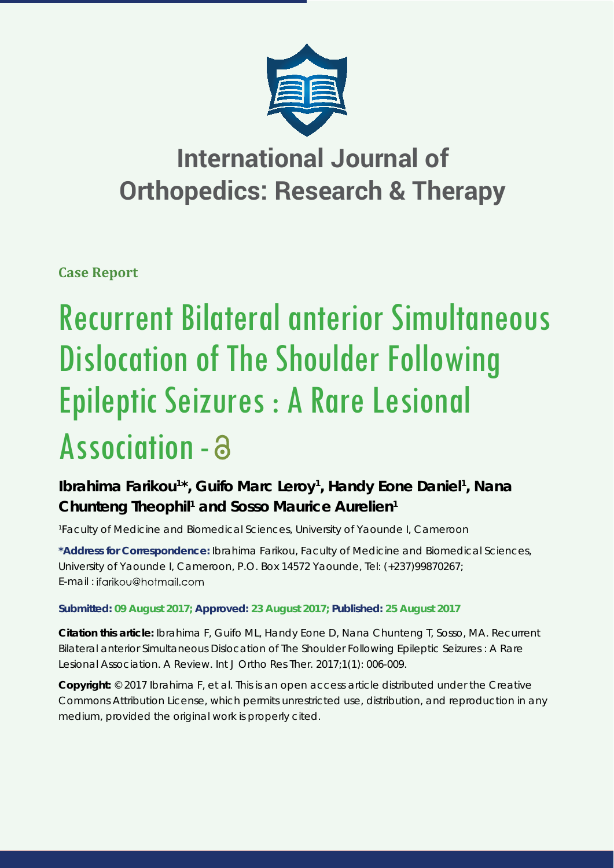

## **International Journal of Orthopedics: Research & Therapy**

**Case Report**

# Recurrent Bilateral anterior Simultaneous Dislocation of The Shoulder Following Epileptic Seizures : A Rare Lesional Association -

## Ibrahima Farikou<sup>1\*</sup>, Guifo Marc Leroy<sup>1</sup>, Handy Eone Daniel<sup>1</sup>, Nana Chunteng Theophil<sup>1</sup> and Sosso Maurice Aurelien<sup>1</sup>

*1 Faculty of Medicine and Biomedical Sciences, University of Yaounde I, Cameroon*

**\*Address for Correspondence:** Ibrahima Farikou, Faculty of Medicine and Biomedical Sciences, University of Yaounde I, Cameroon, P.O. Box 14572 Yaounde, Tel: (+237)99870267; E-mail : ifgrikou@hotmgil.com

### **Submitted: 09 August 2017; Approved: 23 August 2017; Published: 25 August 2017**

**Citation this article:** Ibrahima F, Guifo ML, Handy Eone D, Nana Chunteng T, Sosso, MA. Recurrent Bilateral anterior Simultaneous Dislocation of The Shoulder Following Epileptic Seizures : A Rare Lesional Association. A Review. Int J Ortho Res Ther. 2017;1(1): 006-009.

**Copyright:** © 2017 Ibrahima F, et al. This is an open access article distributed under the Creative Commons Attribution License, which permits unrestricted use, distribution, and reproduction in any medium, provided the original work is properly cited.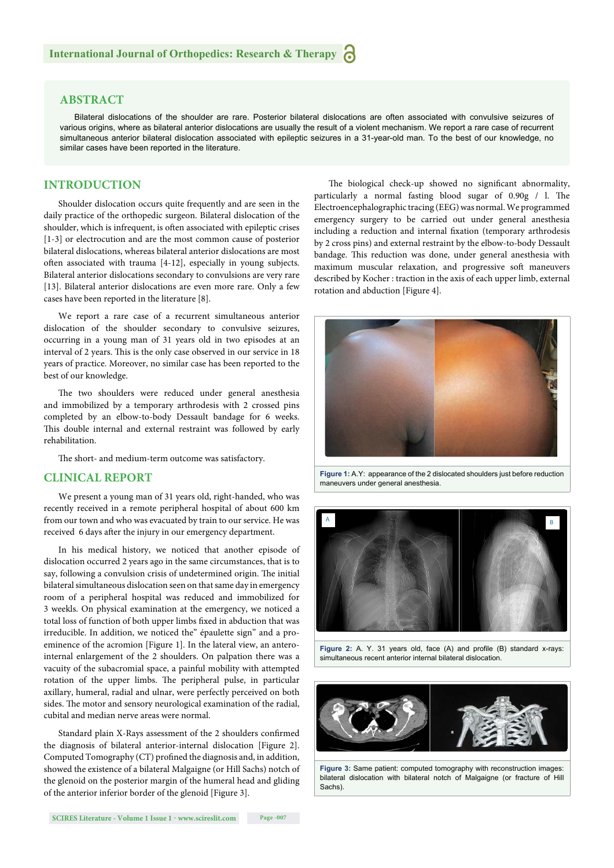#### **ABSTRACT**

Bilateral dislocations of the shoulder are rare. Posterior bilateral dislocations are often associated with convulsive seizures of various origins, where as bilateral anterior dislocations are usually the result of a violent mechanism. We report a rare case of recurrent simultaneous anterior bilateral dislocation associated with epileptic seizures in a 31-year-old man. To the best of our knowledge, no similar cases have been reported in the literature.

#### **INTRODUCTION**

Shoulder dislocation occurs quite frequently and are seen in the daily practice of the orthopedic surgeon. Bilateral dislocation of the shoulder, which is infrequent, is often associated with epileptic crises [1-3] or electrocution and are the most common cause of posterior bilateral dislocations, whereas bilateral anterior dislocations are most often associated with trauma [4-12], especially in young subjects. Bilateral anterior dislocations secondary to convulsions are very rare [13]. Bilateral anterior dislocations are even more rare. Only a few cases have been reported in the literature [8].

We report a rare case of a recurrent simultaneous anterior dislocation of the shoulder secondary to convulsive seizures, occurring in a young man of 31 years old in two episodes at an interval of 2 years. This is the only case observed in our service in 18 years of practice. Moreover, no similar case has been reported to the best of our knowledge.

The two shoulders were reduced under general anesthesia and immobilized by a temporary arthrodesis with 2 crossed pins completed by an elbow-to-body Dessault bandage for 6 weeks. This double internal and external restraint was followed by early rehabilitation.

The short- and medium-term outcome was satisfactory.

#### **CLINICAL REPORT**

We present a young man of 31 years old, right-handed, who was recently received in a remote peripheral hospital of about 600 km from our town and who was evacuated by train to our service. He was received 6 days after the injury in our emergency department.

In his medical history, we noticed that another episode of dislocation occurred 2 years ago in the same circumstances, that is to say, following a convulsion crisis of undetermined origin. The initial bilateral simultaneous dislocation seen on that same day in emergency room of a peripheral hospital was reduced and immobilized for 3 weekls. On physical examination at the emergency, we noticed a total loss of function of both upper limbs fixed in abduction that was irreducible. In addition, we noticed the" épaulette sign" and a proeminence of the acromion [Figure 1]. In the lateral view, an anterointernal enlargement of the 2 shoulders. On palpation there was a vacuity of the subacromial space, a painful mobility with attempted rotation of the upper limbs. The peripheral pulse, in particular axillary, humeral, radial and ulnar, were perfectly perceived on both sides. The motor and sensory neurological examination of the radial, cubital and median nerve areas were normal.

Standard plain X-Rays assessment of the 2 shoulders confirmed the diagnosis of bilateral anterior-internal dislocation [Figure 2]. Computed Tomography (CT) profined the diagnosis and, in addition, showed the existence of a bilateral Malgaigne (or Hill Sachs) notch of the glenoid on the posterior margin of the humeral head and gliding of the anterior inferior border of the glenoid [Figure 3].

The biological check-up showed no significant abnormality, particularly a normal fasting blood sugar of  $0.90g / I$ . The Electroencephalographic tracing (EEG) was normal. We programmed emergency surgery to be carried out under general anesthesia including a reduction and internal fixation (temporary arthrodesis by 2 cross pins) and external restraint by the elbow-to-body Dessault bandage. This reduction was done, under general anesthesia with maximum muscular relaxation, and progressive soft maneuvers described by Kocher : traction in the axis of each upper limb, external rotation and abduction [Figure 4].



**Figure 1:** A.Y: appearance of the 2 dislocated shoulders just before reduction maneuvers under general anesthesia.



Figure 2: A. Y. 31 years old, face (A) and profile (B) standard x-rays: simultaneous recent anterior internal bilateral dislocation.



**Figure 3:** Same patient: computed tomography with reconstruction images: bilateral dislocation with bilateral notch of Malgaigne (or fracture of Hill Sachs).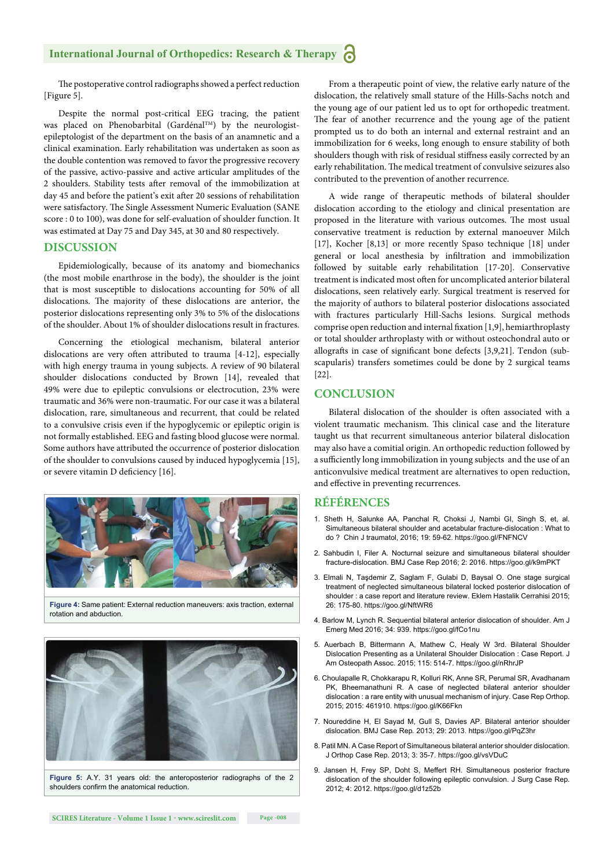#### **International Journal of Orthopedics: Research & Therapy**

The postoperative control radiographs showed a perfect reduction [Figure 5].

Despite the normal post-critical EEG tracing, the patient was placed on Phenobarbital (Gardénal<sup>TM</sup>) by the neurologistepileptologist of the department on the basis of an anamnetic and a clinical examination. Early rehabilitation was undertaken as soon as the double contention was removed to favor the progressive recovery of the passive, activo-passive and active articular amplitudes of the 2 shoulders. Stability tests after removal of the immobilization at day 45 and before the patient's exit after 20 sessions of rehabilitation were satisfactory. The Single Assessment Numeric Evaluation (SANE score : 0 to 100), was done for self-evaluation of shoulder function. It was estimated at Day 75 and Day 345, at 30 and 80 respectively.

#### **DISCUSSION**

Epidemiologically, because of its anatomy and biomechanics (the most mobile enarthrose in the body), the shoulder is the joint that is most susceptible to dislocations accounting for 50% of all dislocations. The majority of these dislocations are anterior, the posterior dislocations representing only 3% to 5% of the dislocations of the shoulder. About 1% of shoulder dislocations result in fractures.

Concerning the etiological mechanism, bilateral anterior dislocations are very often attributed to trauma [4-12], especially with high energy trauma in young subjects. A review of 90 bilateral shoulder dislocations conducted by Brown [14], revealed that 49% were due to epileptic convulsions or electrocution, 23% were traumatic and 36% were non-traumatic. For our case it was a bilateral dislocation, rare, simultaneous and recurrent, that could be related to a convulsive crisis even if the hypoglycemic or epileptic origin is not formally established. EEG and fasting blood glucose were normal. Some authors have attributed the occurrence of posterior dislocation of the shoulder to convulsions caused by induced hypoglycemia [15], or severe vitamin D deficiency [16].



**Figure 4:** Same patient: External reduction maneuvers: axis traction, external rotation and abduction.



**Figure 5:** A.Y. 31 years old: the anteroposterior radiographs of the 2 shoulders confirm the anatomical reduction.

From a therapeutic point of view, the relative early nature of the dislocation, the relatively small stature of the Hills-Sachs notch and the young age of our patient led us to opt for orthopedic treatment. The fear of another recurrence and the young age of the patient prompted us to do both an internal and external restraint and an immobilization for 6 weeks, long enough to ensure stability of both shoulders though with risk of residual stiffness easily corrected by an early rehabilitation. The medical treatment of convulsive seizures also contributed to the prevention of another recurrence.

A wide range of therapeutic methods of bilateral shoulder dislocation according to the etiology and clinical presentation are proposed in the literature with various outcomes. The most usual conservative treatment is reduction by external manoeuver Milch [17], Kocher [8,13] or more recently Spaso technique [18] under general or local anesthesia by infiltration and immobilization followed by suitable early rehabilitation [17-20]. Conservative treatment is indicated most often for uncomplicated anterior bilateral dislocations, seen relatively early. Surgical treatment is reserved for the majority of authors to bilateral posterior dislocations associated with fractures particularly Hill-Sachs lesions. Surgical methods comprise open reduction and internal fixation  $[1,9]$ , hemiarthroplasty or total shoulder arthroplasty with or without osteochondral auto or allografts in case of significant bone defects [3,9,21]. Tendon (subscapularis) transfers sometimes could be done by 2 surgical teams [22].

#### **CONCLUSION**

Bilateral dislocation of the shoulder is often associated with a violent traumatic mechanism. This clinical case and the literature taught us that recurrent simultaneous anterior bilateral dislocation may also have a comitial origin. An orthopedic reduction followed by a sufficiently long immobilization in young subjects and the use of an anticonvulsive medical treatment are alternatives to open reduction, and effective in preventing recurrences.

#### **RÉFÉRENCES**

- 1. Sheth H, Salunke AA, Panchal R, Choksi J, Nambi GI, Singh S, et, al. Simultaneous bilateral shoulder and acetabular fracture-dislocation : What to do ? Chin J traumatol, 2016; 19: 59-62. https://goo.gl/FNFNCV
- 2. Sahbudin I, Filer A. Nocturnal seizure and simultaneous bilateral shoulder fracture-dislocation. BMJ Case Rep 2016; 2: 2016. https://goo.gl/k9mPKT
- 3. Elmali N, Taşdemir Z, Saglam F, Gulabi D, Baysal O. One stage surgical treatment of neglected simultaneous bilateral locked posterior dislocation of shoulder : a case report and literature review. Eklem Hastalik Cerrahisi 2015; 26: 175-80. https://goo.gl/NftWR6
- 4. Barlow M, Lynch R. Sequential bilateral anterior dislocation of shoulder. Am J Emerg Med 2016; 34: 939. https://goo.gl/fCo1nu
- 5. Auerbach B, Bittermann A, Mathew C, Healy W 3rd. Bilateral Shoulder Dislocation Presenting as a Unilateral Shoulder Dislocation : Case Report. J Am Osteopath Assoc. 2015; 115: 514-7. https://goo.gl/nRhrJP
- 6. Choulapalle R, Chokkarapu R, Kolluri RK, Anne SR, Perumal SR, Avadhanam PK, Bheemanathuni R. A case of neglected bilateral anterior shoulder dislocation : a rare entity with unusual mechanism of injury. Case Rep Orthop. 2015; 2015: 461910. https://goo.gl/K66Fkn
- 7. Noureddine H, El Sayad M, Gull S, Davies AP. Bilateral anterior shoulder dislocation. BMJ Case Rep*.* 2013; 29: 2013. https://goo.gl/PqZ3hr
- 8. Patil MN. A Case Report of Simultaneous bilateral anterior shoulder dislocation. J Orthop Case Rep. 2013; 3: 35-7. https://goo.gl/vsVDuC
- 9. Jansen H, Frey SP, Doht S, Meffert RH. Simultaneous posterior fracture dislocation of the shoulder following epileptic convulsion. J Surg Case Rep. 2012; 4: 2012. https://goo.gl/d1z52b